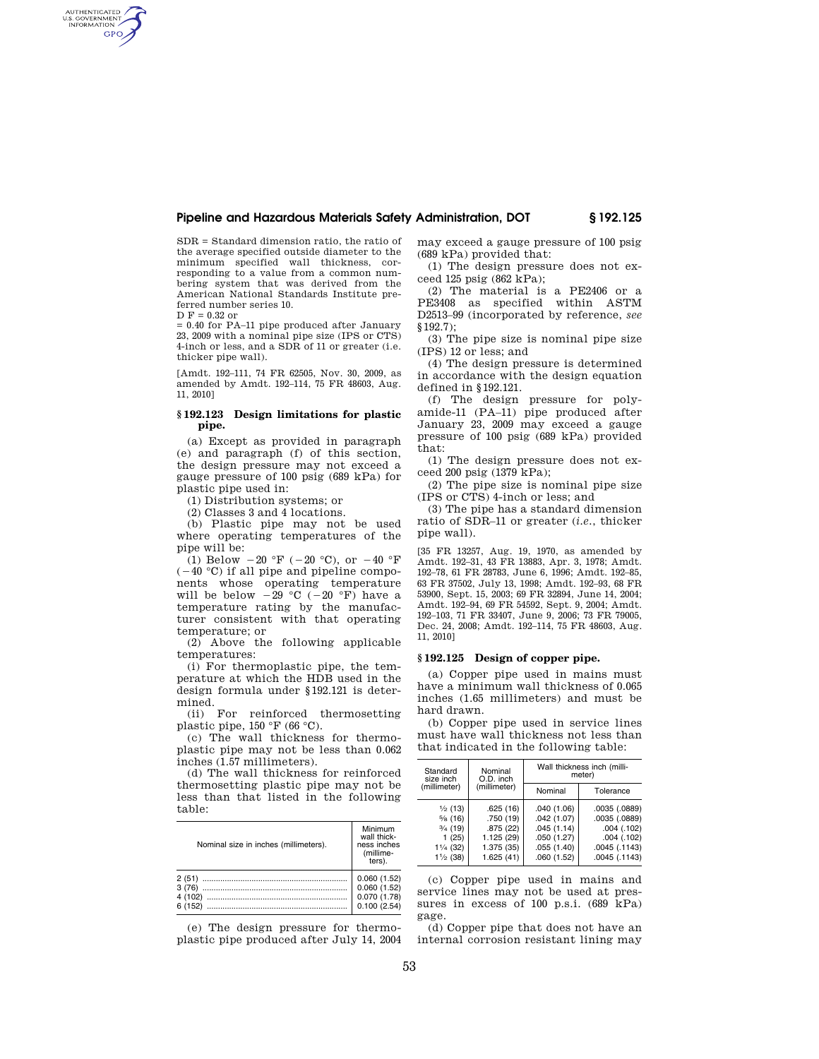# **Pipeline and Hazardous Materials Safety Administration, DOT § 192.125**

SDR = Standard dimension ratio, the ratio of the average specified outside diameter to the minimum specified wall thickness, corresponding to a value from a common numbering system that was derived from the American National Standards Institute preferred number series 10.

 $D F = 0.32$  or

AUTHENTICATED<br>U.S. GOVERNMENT<br>INFORMATION GPO

> = 0.40 for PA–11 pipe produced after January 23, 2009 with a nominal pipe size (IPS or CTS) 4-inch or less, and a SDR of 11 or greater (i.e. thicker pipe wall).

> [Amdt. 192–111, 74 FR 62505, Nov. 30, 2009, as amended by Amdt. 192–114, 75 FR 48603, Aug. 11, 2010]

### **§ 192.123 Design limitations for plastic pipe.**

(a) Except as provided in paragraph (e) and paragraph (f) of this section, the design pressure may not exceed a gauge pressure of 100 psig (689 kPa) for plastic pipe used in:

(1) Distribution systems; or

(2) Classes 3 and 4 locations.

(b) Plastic pipe may not be used where operating temperatures of the pipe will be:

(1) Below  $-20$  °F ( $-20$  °C), or  $-40$  °F  $(-40 °C)$  if all pipe and pipeline components whose operating temperature<br>will be below  $-29$  °C ( $-20$  °F) have a temperature rating by the manufacturer consistent with that operating temperature; or

(2) Above the following applicable temperatures:

(i) For thermoplastic pipe, the temperature at which the HDB used in the design formula under §192.121 is determined.

(ii) For reinforced thermosetting plastic pipe,  $150 \text{ °F}$  (66 °C).

(c) The wall thickness for thermoplastic pipe may not be less than 0.062 inches (1.57 millimeters).

(d) The wall thickness for reinforced thermosetting plastic pipe may not be less than that listed in the following table:

| Nominal size in inches (millimeters). | Minimum<br>wall thick-<br>ness inches<br>(millime-<br>ters). |
|---------------------------------------|--------------------------------------------------------------|
| 2(51)<br>3(76)<br>4(102)<br>6(152)    | 0.060(1.52)<br>0.060(1.52)<br>0.070(1.78)<br>0.100(2.54)     |

(e) The design pressure for thermoplastic pipe produced after July 14, 2004 may exceed a gauge pressure of 100 psig (689 kPa) provided that:

(1) The design pressure does not exceed 125 psig (862 kPa);

(2) The material is a PE2406 or a PE3408 as specified within ASTM D2513–99 (incorporated by reference, *see*  §192.7);

(3) The pipe size is nominal pipe size (IPS) 12 or less; and

(4) The design pressure is determined in accordance with the design equation defined in §192.121.

(f) The design pressure for polyamide-11 (PA–11) pipe produced after January 23, 2009 may exceed a gauge pressure of 100 psig (689 kPa) provided that:

(1) The design pressure does not exceed 200 psig (1379 kPa);

(2) The pipe size is nominal pipe size (IPS or CTS) 4-inch or less; and

(3) The pipe has a standard dimension ratio of SDR–11 or greater (*i.e.*, thicker pipe wall).

[35 FR 13257, Aug. 19, 1970, as amended by Amdt. 192–31, 43 FR 13883, Apr. 3, 1978; Amdt. 192–78, 61 FR 28783, June 6, 1996; Amdt. 192–85, 63 FR 37502, July 13, 1998; Amdt. 192–93, 68 FR 53900, Sept. 15, 2003; 69 FR 32894, June 14, 2004; Amdt. 192–94, 69 FR 54592, Sept. 9, 2004; Amdt. 192–103, 71 FR 33407, June 9, 2006; 73 FR 79005, Dec. 24, 2008; Amdt. 192–114, 75 FR 48603, Aug. 11, 2010]

#### **§ 192.125 Design of copper pipe.**

(a) Copper pipe used in mains must have a minimum wall thickness of 0.065 inches (1.65 millimeters) and must be hard drawn.

(b) Copper pipe used in service lines must have wall thickness not less than that indicated in the following table:

| Standard<br>size inch                                                                                                 | Nominal<br>O.D. inch<br>(millimeter)                                       | Wall thickness inch (milli-<br>meter)                                            |                                                                                                     |
|-----------------------------------------------------------------------------------------------------------------------|----------------------------------------------------------------------------|----------------------------------------------------------------------------------|-----------------------------------------------------------------------------------------------------|
| (millimeter)                                                                                                          |                                                                            | Nominal                                                                          | Tolerance                                                                                           |
| $\frac{1}{2}$ (13)<br>$\frac{5}{8}$ (16)<br>$\frac{3}{4}$ (19)<br>1(25)<br>$1\frac{1}{4}$ (32)<br>$1\frac{1}{2}$ (38) | .625(16)<br>.750 (19)<br>.875(22)<br>1.125 (29)<br>1.375 (35)<br>1.625(41) | .040(1.06)<br>.042(1.07)<br>.045(1.14)<br>.050(1.27)<br>.055(1.40)<br>.060(1.52) | .0035(.0889)<br>.0035 (.0889)<br>$.004$ $(.102)$<br>$.004$ $(.102)$<br>.0045(.1143)<br>.0045(.1143) |

(c) Copper pipe used in mains and service lines may not be used at pressures in excess of 100 p.s.i. (689 kPa) gage.

(d) Copper pipe that does not have an internal corrosion resistant lining may